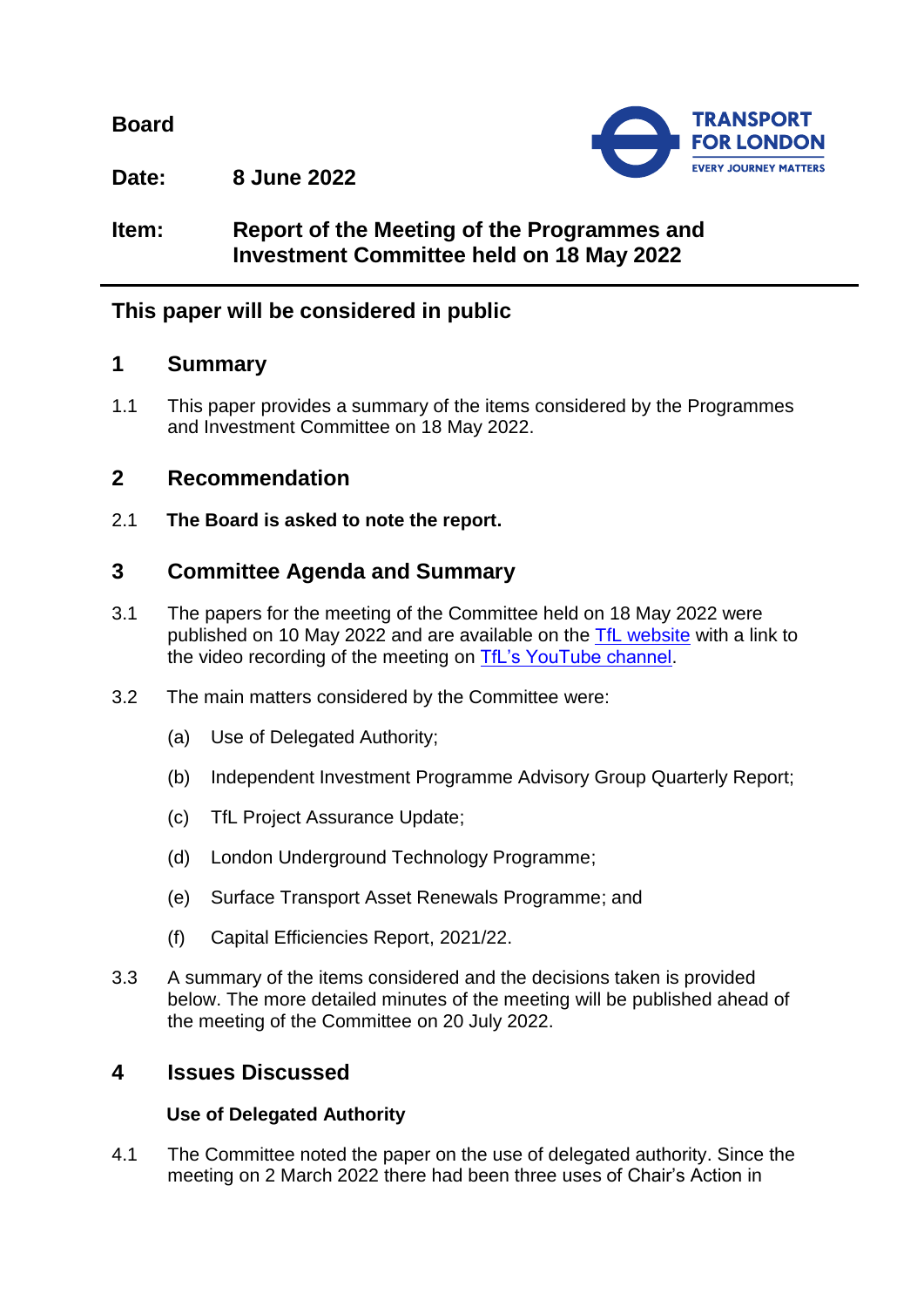**Board**



**Date: 8 June 2022**

# **Item: Report of the Meeting of the Programmes and Investment Committee held on 18 May 2022**

# **This paper will be considered in public**

## **1 Summary**

1.1 This paper provides a summary of the items considered by the Programmes and Investment Committee on 18 May 2022.

# **2 Recommendation**

2.1 **The Board is asked to note the report.**

# **3 Committee Agenda and Summary**

- 3.1 The papers for the meeting of the Committee held on 18 May 2022 were published on 10 May 2022 and are available on the [TfL website](https://board.tfl.gov.uk/uuCoverPage.aspx?bcr=1) with a link to the video recording of the meeting on [TfL's YouTube channel.](https://www.youtube.com/playlist?list=PLtnlusA0Zoggk4qvN68OcnD9k_7B8cY_d)
- 3.2 The main matters considered by the Committee were:
	- (a) Use of Delegated Authority;
	- (b) Independent Investment Programme Advisory Group Quarterly Report;
	- (c) TfL Project Assurance Update;
	- (d) London Underground Technology Programme;
	- (e) Surface Transport Asset Renewals Programme; and
	- (f) Capital Efficiencies Report, 2021/22.
- 3.3 A summary of the items considered and the decisions taken is provided below. The more detailed minutes of the meeting will be published ahead of the meeting of the Committee on 20 July 2022.

# **4 Issues Discussed**

### **Use of Delegated Authority**

4.1 The Committee noted the paper on the use of delegated authority. Since the meeting on 2 March 2022 there had been three uses of Chair's Action in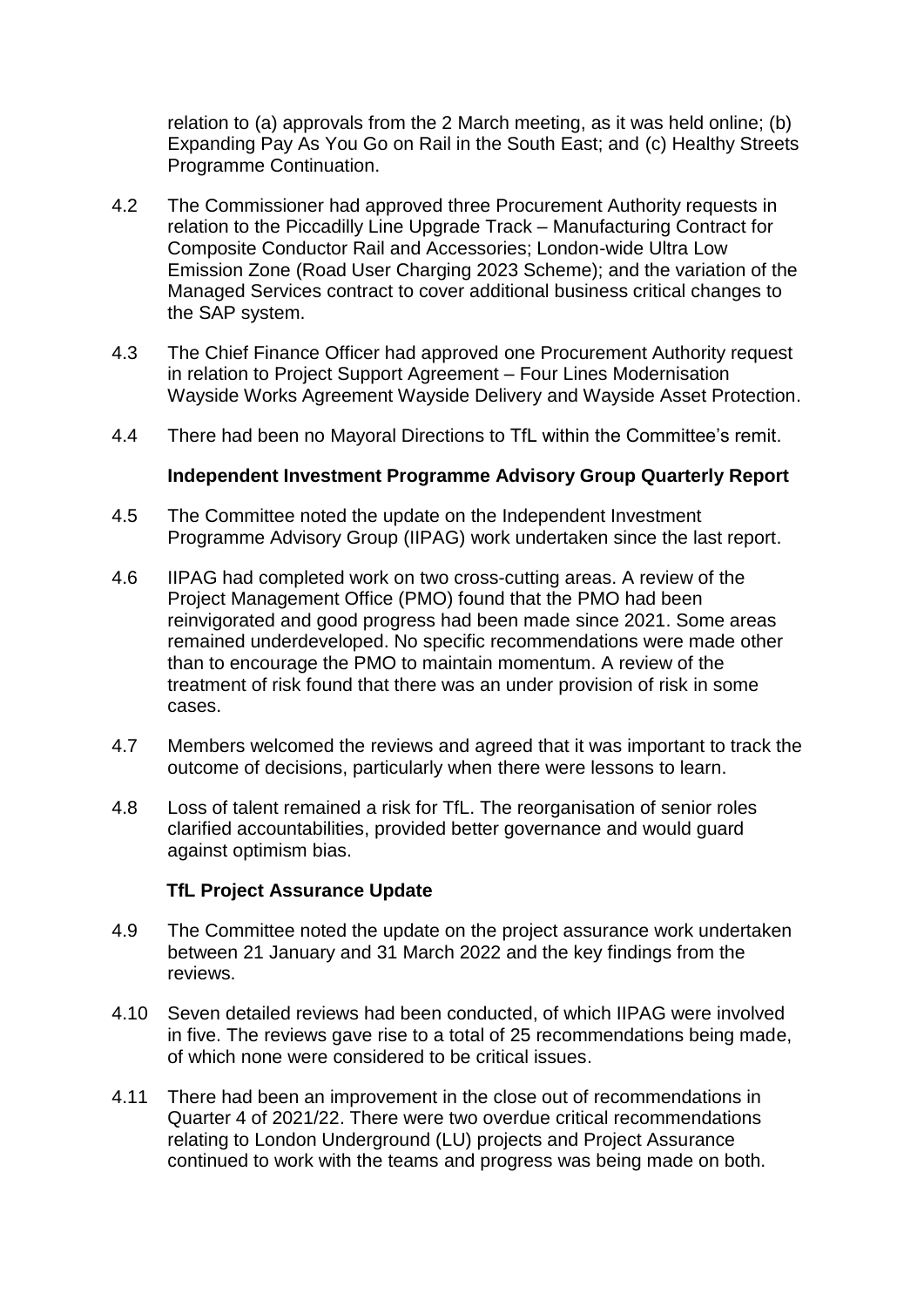relation to (a) approvals from the 2 March meeting, as it was held online; (b) Expanding Pay As You Go on Rail in the South East; and (c) Healthy Streets Programme Continuation.

- 4.2 The Commissioner had approved three Procurement Authority requests in relation to the Piccadilly Line Upgrade Track – Manufacturing Contract for Composite Conductor Rail and Accessories; London-wide Ultra Low Emission Zone (Road User Charging 2023 Scheme); and the variation of the Managed Services contract to cover additional business critical changes to the SAP system.
- 4.3 The Chief Finance Officer had approved one Procurement Authority request in relation to Project Support Agreement – Four Lines Modernisation Wayside Works Agreement Wayside Delivery and Wayside Asset Protection.
- 4.4 There had been no Mayoral Directions to TfL within the Committee's remit.

#### **Independent Investment Programme Advisory Group Quarterly Report**

- 4.5 The Committee noted the update on the Independent Investment Programme Advisory Group (IIPAG) work undertaken since the last report.
- 4.6 IIPAG had completed work on two cross-cutting areas. A review of the Project Management Office (PMO) found that the PMO had been reinvigorated and good progress had been made since 2021. Some areas remained underdeveloped. No specific recommendations were made other than to encourage the PMO to maintain momentum. A review of the treatment of risk found that there was an under provision of risk in some cases.
- 4.7 Members welcomed the reviews and agreed that it was important to track the outcome of decisions, particularly when there were lessons to learn.
- 4.8 Loss of talent remained a risk for TfL. The reorganisation of senior roles clarified accountabilities, provided better governance and would guard against optimism bias.

#### **TfL Project Assurance Update**

- 4.9 The Committee noted the update on the project assurance work undertaken between 21 January and 31 March 2022 and the key findings from the reviews.
- 4.10 Seven detailed reviews had been conducted, of which IIPAG were involved in five. The reviews gave rise to a total of 25 recommendations being made, of which none were considered to be critical issues.
- 4.11 There had been an improvement in the close out of recommendations in Quarter 4 of 2021/22. There were two overdue critical recommendations relating to London Underground (LU) projects and Project Assurance continued to work with the teams and progress was being made on both.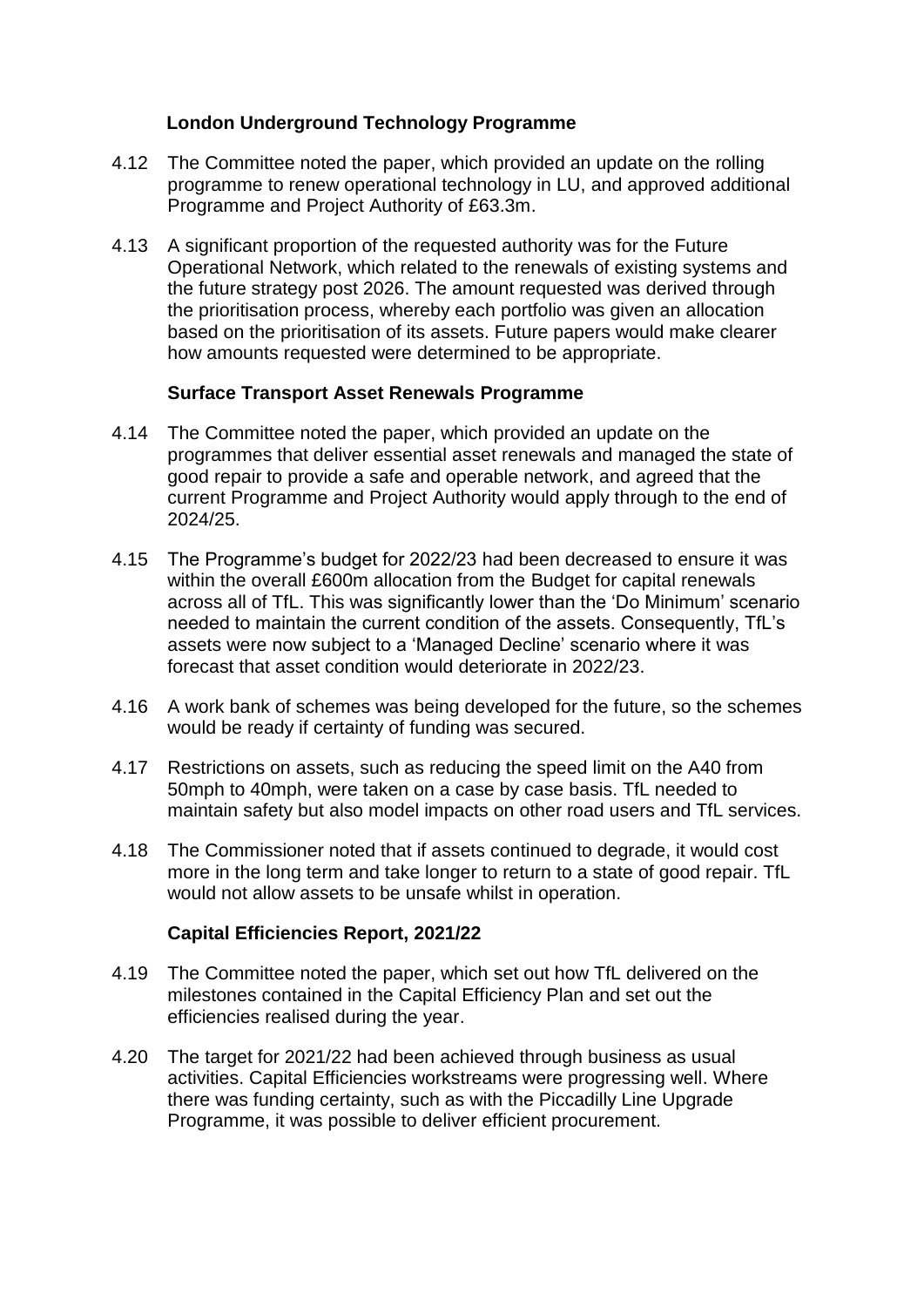### **London Underground Technology Programme**

- 4.12 The Committee noted the paper, which provided an update on the rolling programme to renew operational technology in LU, and approved additional Programme and Project Authority of £63.3m.
- 4.13 A significant proportion of the requested authority was for the Future Operational Network, which related to the renewals of existing systems and the future strategy post 2026. The amount requested was derived through the prioritisation process, whereby each portfolio was given an allocation based on the prioritisation of its assets. Future papers would make clearer how amounts requested were determined to be appropriate.

#### **Surface Transport Asset Renewals Programme**

- 4.14 The Committee noted the paper, which provided an update on the programmes that deliver essential asset renewals and managed the state of good repair to provide a safe and operable network, and agreed that the current Programme and Project Authority would apply through to the end of 2024/25.
- 4.15 The Programme's budget for 2022/23 had been decreased to ensure it was within the overall £600m allocation from the Budget for capital renewals across all of TfL. This was significantly lower than the 'Do Minimum' scenario needed to maintain the current condition of the assets. Consequently, TfL's assets were now subject to a 'Managed Decline' scenario where it was forecast that asset condition would deteriorate in 2022/23.
- 4.16 A work bank of schemes was being developed for the future, so the schemes would be ready if certainty of funding was secured.
- 4.17 Restrictions on assets, such as reducing the speed limit on the A40 from 50mph to 40mph, were taken on a case by case basis. TfL needed to maintain safety but also model impacts on other road users and TfL services.
- 4.18 The Commissioner noted that if assets continued to degrade, it would cost more in the long term and take longer to return to a state of good repair. TfL would not allow assets to be unsafe whilst in operation.

### **Capital Efficiencies Report, 2021/22**

- 4.19 The Committee noted the paper, which set out how TfL delivered on the milestones contained in the Capital Efficiency Plan and set out the efficiencies realised during the year.
- 4.20 The target for 2021/22 had been achieved through business as usual activities. Capital Efficiencies workstreams were progressing well. Where there was funding certainty, such as with the Piccadilly Line Upgrade Programme, it was possible to deliver efficient procurement.